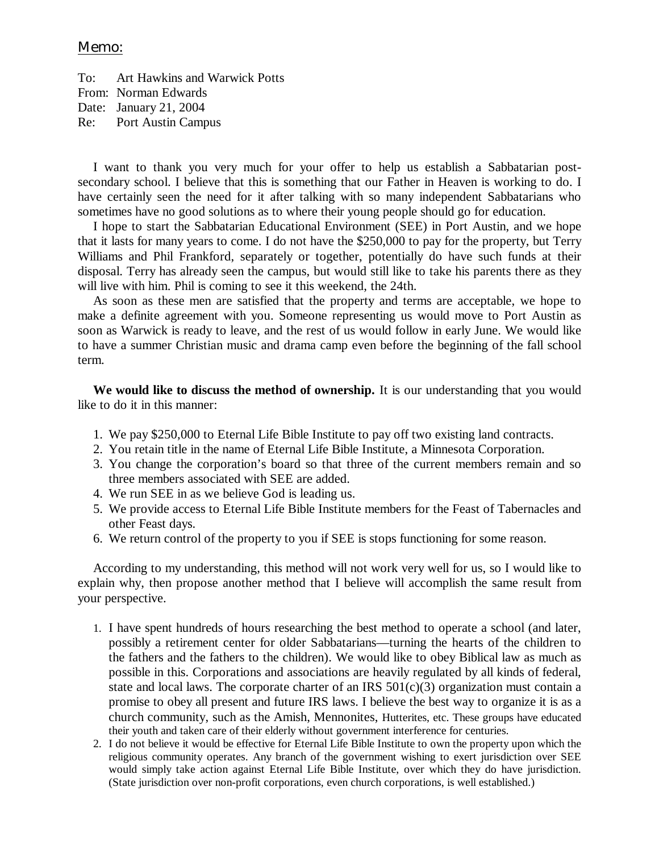## Memo:

To: Art Hawkins and Warwick Potts From: Norman Edwards Date: January 21, 2004 Re: Port Austin Campus

I want to thank you very much for your offer to help us establish a Sabbatarian postsecondary school. I believe that this is something that our Father in Heaven is working to do. I have certainly seen the need for it after talking with so many independent Sabbatarians who sometimes have no good solutions as to where their young people should go for education.

I hope to start the Sabbatarian Educational Environment (SEE) in Port Austin, and we hope that it lasts for many years to come. I do not have the \$250,000 to pay for the property, but Terry Williams and Phil Frankford, separately or together, potentially do have such funds at their disposal. Terry has already seen the campus, but would still like to take his parents there as they will live with him. Phil is coming to see it this weekend, the 24th.

As soon as these men are satisfied that the property and terms are acceptable, we hope to make a definite agreement with you. Someone representing us would move to Port Austin as soon as Warwick is ready to leave, and the rest of us would follow in early June. We would like to have a summer Christian music and drama camp even before the beginning of the fall school term.

**We would like to discuss the method of ownership.** It is our understanding that you would like to do it in this manner:

- 1. We pay \$250,000 to Eternal Life Bible Institute to pay off two existing land contracts.
- 2. You retain title in the name of Eternal Life Bible Institute, a Minnesota Corporation.
- 3. You change the corporation's board so that three of the current members remain and so three members associated with SEE are added.
- 4. We run SEE in as we believe God is leading us.
- 5. We provide access to Eternal Life Bible Institute members for the Feast of Tabernacles and other Feast days.
- 6. We return control of the property to you if SEE is stops functioning for some reason.

According to my understanding, this method will not work very well for us, so I would like to explain why, then propose another method that I believe will accomplish the same result from your perspective.

- 1. I have spent hundreds of hours researching the best method to operate a school (and later, possibly a retirement center for older Sabbatarians— turning the hearts of the children to the fathers and the fathers to the children). We would like to obey Biblical law as much as possible in this. Corporations and associations are heavily regulated by all kinds of federal, state and local laws. The corporate charter of an IRS  $501(c)(3)$  organization must contain a promise to obey all present and future IRS laws. I believe the best way to organize it is as a church community, such as the Amish, Mennonites, Hutterites, etc. These groups have educated their youth and taken care of their elderly without government interference for centuries.
- 2. I do not believe it would be effective for Eternal Life Bible Institute to own the property upon which the religious community operates. Any branch of the government wishing to exert jurisdiction over SEE would simply take action against Eternal Life Bible Institute, over which they do have jurisdiction. (State jurisdiction over non-profit corporations, even church corporations, is well established.)